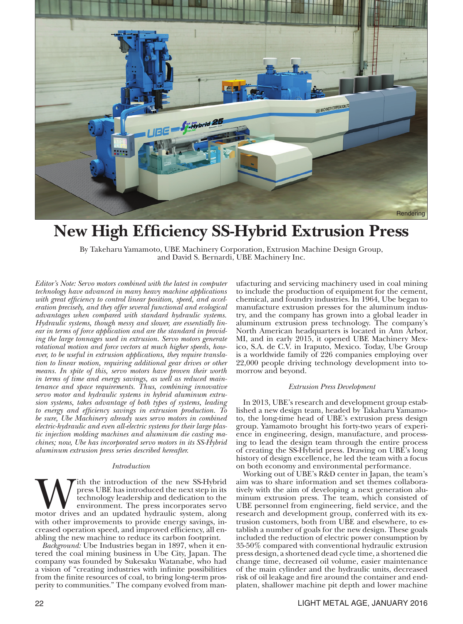

## **New High Efficiency SS-Hybrid Extrusion Press**

By Takeharu Yamamoto, UBE Machinery Corporation, Extrusion Machine Design Group, and David S. Bernardi, UBE Machinery Inc.

*Editor's Note: Servo motors combined with the latest in computer technology have advanced in many heavy machine applications with great efficiency to control linear position, speed, and acceleration precisely, and they offer several functional and ecological advantages when compared with standard hydraulic systems. Hydraulic systems, though messy and slower, are essentially linear in terms of force application and are the standard in providing the large tonnages used in extrusion. Servo motors generate rotational motion and force vectors at much higher speeds, however, to be useful in extrusion applications, they require translation to linear motion, requiring additional gear drives or other means. In spite of this, servo motors have proven their worth in terms of time and energy savings, as well as reduced maintenance and space requirements. Thus, combining innovative servo motor and hydraulic systems in hybrid aluminum extrusion systems, takes advantage of both types of systems, leading to energy and efficiency savings in extrusion production. To be sure, Ube Machinery already uses servo motors in combined electric-hydraulic and even all-electric systems for their large plastic injection molding machines and aluminum die casting machines; now, Ube has incorporated servo motors in its SS-Hybrid aluminum extrusion press series described hereafter.*

#### *Introduction*

With the introduction of the new SS-Hybrid press UBE has introduced the next step in its technology leadership and dedication to the environment. The press incorporates servo motor drives and an updated hydraulic system, a press UBE has introduced the next step in its technology leadership and dedication to the environment. The press incorporates servo with other improvements to provide energy savings, increased operation speed, and improved efficiency, all enabling the new machine to reduce its carbon footprint.

*Background:* Ube Industries began in 1897, when it entered the coal mining business in Ube City, Japan. The company was founded by Sukesaku Watanabe, who had a vision of "creating industries with infinite possibilities from the finite resources of coal, to bring long-term prosperity to communities." The company evolved from manufacturing and servicing machinery used in coal mining to include the production of equipment for the cement, chemical, and foundry industries. In 1964, Ube began to manufacture extrusion presses for the aluminum industry, and the company has grown into a global leader in aluminum extrusion press technology. The company's North American headquarters is located in Ann Arbor, MI, and in early 2015, it opened UBE Machinery Mexico, S.A. de C.V. in Iraputo, Mexico. Today, Ube Group is a worldwide family of 226 companies employing over 22,000 people driving technology development into tomorrow and beyond.

#### *Extrusion Press Development*

In 2013, UBE's research and development group established a new design team, headed by Takaharu Yamamoto, the long-time head of UBE's extrusion press design group. Yamamoto brought his forty-two years of experience in engineering, design, manufacture, and processing to lead the design team through the entire process of creating the SS-Hybrid press. Drawing on UBE's long history of design excellence, he led the team with a focus on both economy and environmental performance.

Working out of UBE's R&D center in Japan, the team's aim was to share information and set themes collaboratively with the aim of developing a next generation aluminum extrusion press. The team, which consisted of UBE personnel from engineering, field service, and the research and development group, conferred with its extrusion customers, both from UBE and elsewhere, to establish a number of goals for the new design. These goals included the reduction of electric power consumption by 35-50% compared with conventional hydraulic extrusion press design, a shortened dead cycle time, a shortened die change time, decreased oil volume, easier maintenance of the main cylinder and the hydraulic units, decreased risk of oil leakage and fire around the container and endplaten, shallower machine pit depth and lower machine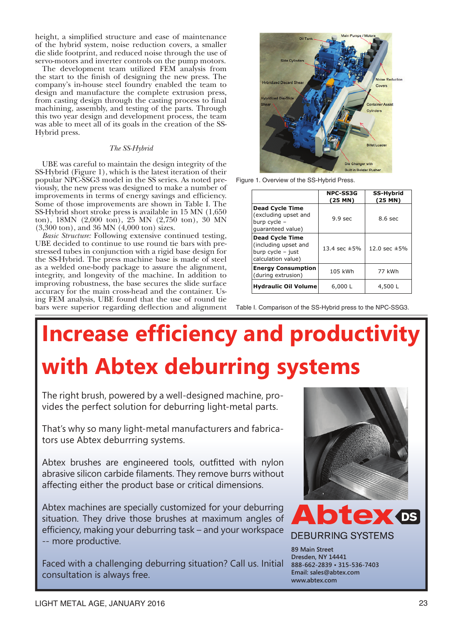height, a simplified structure and ease of maintenance of the hybrid system, noise reduction covers, a smaller die slide footprint, and reduced noise through the use of servo-motors and inverter controls on the pump motors.

The development team utilized FEM analysis from the start to the finish of designing the new press. The company's in-house steel foundry enabled the team to design and manufacture the complete extrusion press, from casting design through the casting process to final machining, assembly, and testing of the parts. Through this two year design and development process, the team was able to meet all of its goals in the creation of the SS-Hybrid press.

### *The SS-Hybrid*

UBE was careful to maintain the design integrity of the SS-Hybrid (Figure 1), which is the latest iteration of their popular NPC-SSG3 model in the SS series. As noted previously, the new press was designed to make a number of improvements in terms of energy savings and efficiency. Some of those improvements are shown in Table I. The SS-Hybrid short stroke press is available in 15 MN (1,650 ton), 18MN (2,000 ton), 25 MN (2,750 ton), 30 MN (3,300 ton), and 36 MN (4,000 ton) sizes.

*Basic Structure:* Following extensive continued testing, UBE decided to continue to use round tie bars with prestressed tubes in conjunction with a rigid base design for the SS-Hybrid. The press machine base is made of steel as a welded one-body package to assure the alignment, integrity, and longevity of the machine. In addition to improving robustness, the base secures the slide surface accuracy for the main cross-head and the container. Using FEM analysis, UBE found that the use of round tie bars were superior regarding deflection and alignment



Figure 1. Overview of the SS-Hybrid Press.

|                                                                                           | <b>NPC-SS3G</b><br>$(25$ MN) | <b>SS-Hybrid</b><br>(25 MN) |
|-------------------------------------------------------------------------------------------|------------------------------|-----------------------------|
| <b>Dead Cycle Time</b><br>(excluding upset and<br>burp cycle -<br>quaranteed value)       | 9.9 <sub>sec</sub>           | 8.6 <sub>sec</sub>          |
| <b>Dead Cycle Time</b><br>(including upset and<br>burp cycle - just<br>calculation value) | 13.4 sec $\pm$ 5%            | 12.0 sec $\pm 5%$           |
| <b>Energy Consumption</b><br>(during extrusion)                                           | 105 kWh                      | 77 kWh                      |
| <b>Hydraulic Oil Volume</b>                                                               | 6,000 L                      | 4,500L                      |

Table I. Comparison of the SS-Hybrid press to the NPC-SSG3.

# **Increase efficiency and productivity with Abtex deburring systems**

The right brush, powered by a well-designed machine, provides the perfect solution for deburring light-metal parts.

That's why so many light-metal manufacturers and fabricators use Abtex deburrring systems.

Abtex brushes are engineered tools, outfitted with nylon abrasive silicon carbide filaments. They remove burrs without affecting either the product base or critical dimensions.

Abtex machines are specially customized for your deburring situation. They drive those brushes at maximum angles of efficiency, making your deburring task – and your workspace -- more productive.

Faced with a challenging deburring situation? Call us. Initial consultation is always free.





**DEBURRING SYSTEMS** 

**89 Main Street Dresden, NY 14441 888-662-2839 • 315-536-7403 Email: sales@abtex.com www.abtex.com**